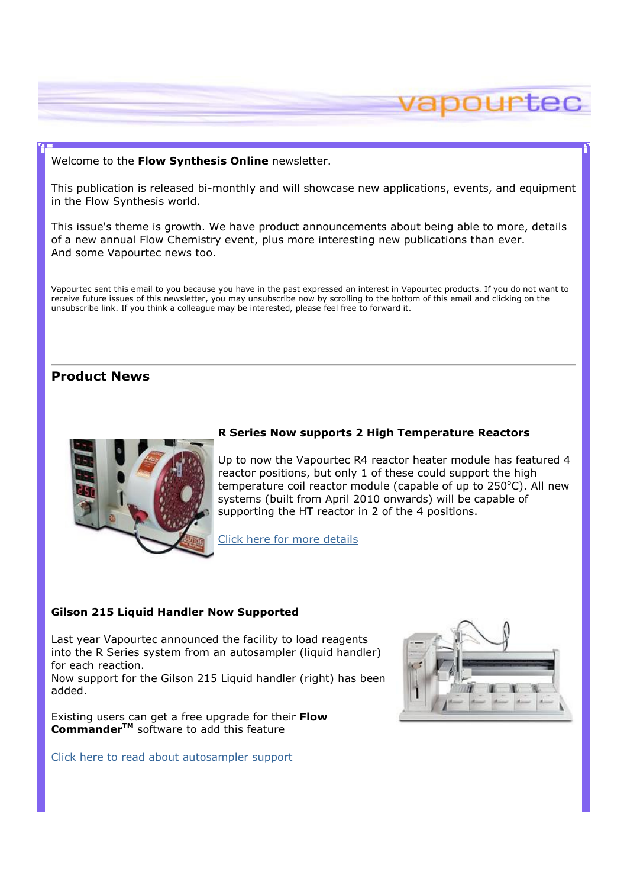#### Welcome to the Flow Synthesis Online newsletter.

This publication is released bi-monthly and will showcase new applications, events, and equipment in the Flow Synthesis world.

This issue's theme is growth. We have product announcements about being able to more, details of a new annual Flow Chemistry event, plus more interesting new publications than ever. And some Vapourtec news too.

Vapourtec sent this email to you because you have in the past expressed an interest in Vapourtec products. If you do not want to receive future issues of this newsletter, you may unsubscribe now by scrolling to the bottom of this email and clicking on the unsubscribe link. If you think a colleague may be interested, please feel free to forward it.

### Product News



#### R Series Now supports 2 High Temperature Reactors

Up to now the Vapourtec R4 reactor heater module has featured 4 reactor positions, but only 1 of these could support the high temperature coil reactor module (capable of up to  $250^{\circ}$ C). All new systems (built from April 2010 onwards) will be capable of supporting the HT reactor in 2 of the 4 positions.

Click here for more details

#### Gilson 215 Liquid Handler Now Supported

Last year Vapourtec announced the facility to load reagents into the R Series system from an autosampler (liquid handler) for each reaction.

Now support for the Gilson 215 Liquid handler (right) has been added.

Existing users can get a free upgrade for their Flow Commander<sup>™</sup> software to add this feature

Click here to read about autosampler support



vapourtec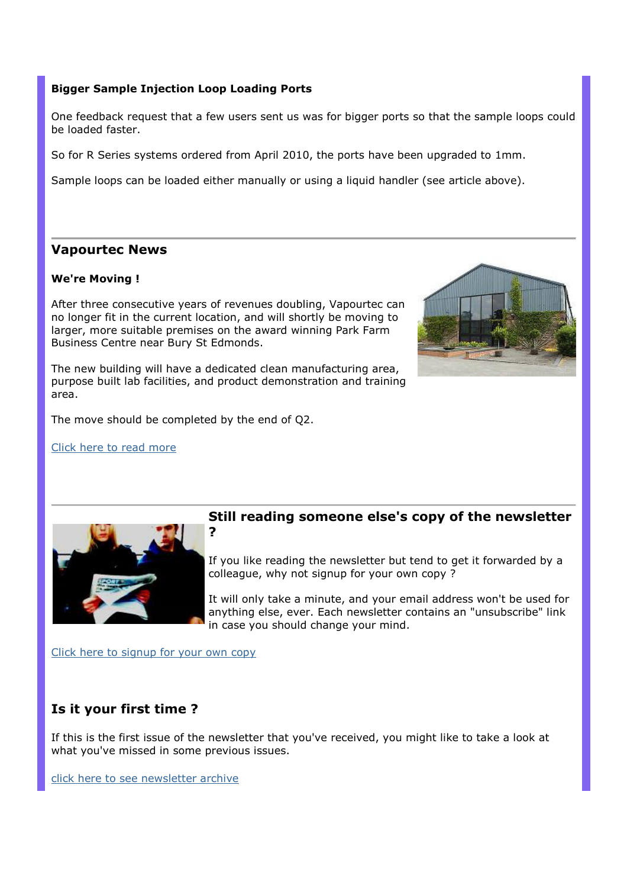### Bigger Sample Injection Loop Loading Ports

One feedback request that a few users sent us was for bigger ports so that the sample loops could be loaded faster.

So for R Series systems ordered from April 2010, the ports have been upgraded to 1mm.

Sample loops can be loaded either manually or using a liquid handler (see article above).

## Vapourtec News

#### We're Moving !

After three consecutive years of revenues doubling, Vapourtec can no longer fit in the current location, and will shortly be moving to larger, more suitable premises on the award winning Park Farm Business Centre near Bury St Edmonds.

The new building will have a dedicated clean manufacturing area, purpose built lab facilities, and product demonstration and training area.

The move should be completed by the end of Q2.

Click here to read more



# Still reading someone else's copy of the newsletter

If you like reading the newsletter but tend to get it forwarded by a colleague, why not signup for your own copy ?

It will only take a minute, and your email address won't be used for anything else, ever. Each newsletter contains an "unsubscribe" link in case you should change your mind.

Click here to signup for your own copy

# Is it your first time ?

If this is the first issue of the newsletter that you've received, you might like to take a look at what you've missed in some previous issues.

click here to see newsletter archive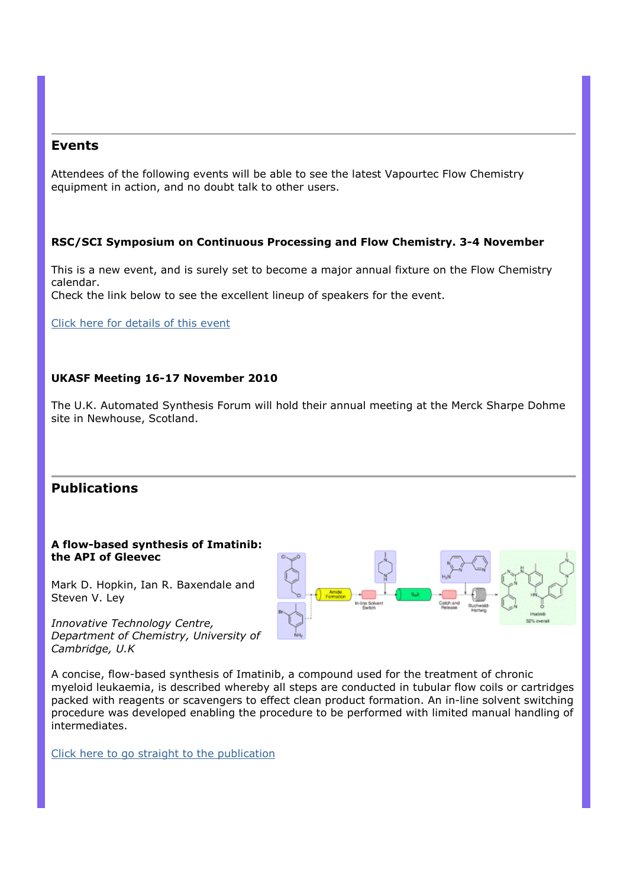## Events

Attendees of the following events will be able to see the latest Vapourtec Flow Chemistry equipment in action, and no doubt talk to other users.

### RSC/SCI Symposium on Continuous Processing and Flow Chemistry. 3-4 November

This is a new event, and is surely set to become a major annual fixture on the Flow Chemistry calendar.

Check the link below to see the excellent lineup of speakers for the event.

Click here for details of this event

### UKASF Meeting 16-17 November 2010

The U.K. Automated Synthesis Forum will hold their annual meeting at the Merck Sharpe Dohme site in Newhouse, Scotland.

# Publications

#### A flow-based synthesis of Imatinib: the API of Gleevec

Mark D. Hopkin, Ian R. Baxendale and Steven V. Ley

Innovative Technology Centre, Department of Chemistry, University of Cambridge, U.K



A concise, flow-based synthesis of Imatinib, a compound used for the treatment of chronic myeloid leukaemia, is described whereby all steps are conducted in tubular flow coils or cartridges packed with reagents or scavengers to effect clean product formation. An in-line solvent switching procedure was developed enabling the procedure to be performed with limited manual handling of intermediates.

Click here to go straight to the publication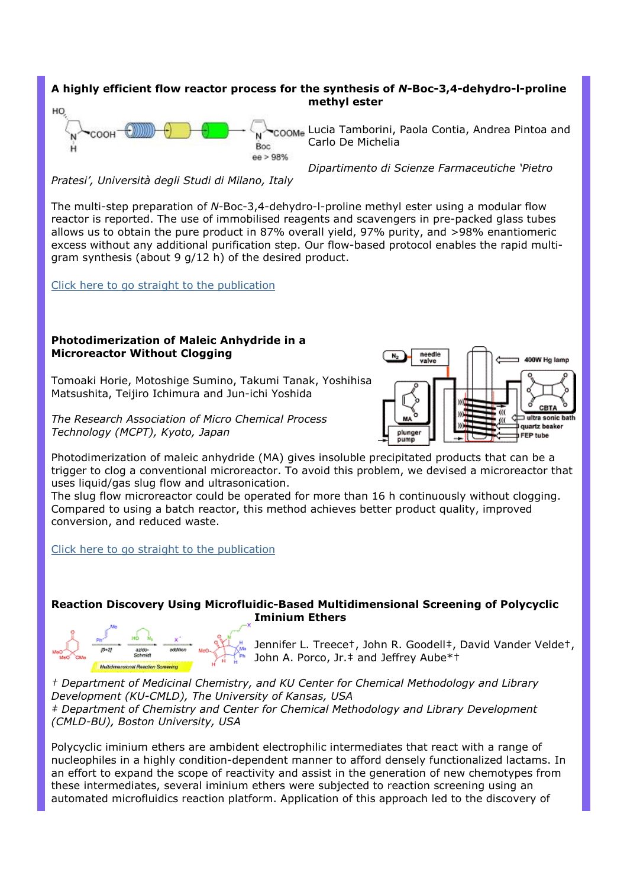#### A highly efficient flow reactor process for the synthesis of N-Boc-3,4-dehydro-l-proline methyl ester HO



COOM<sub>e</sub> Lucia Tamborini, Paola Contia, Andrea Pintoa and Carlo De Michelia

Dipartimento di Scienze Farmaceutiche 'Pietro

#### Pratesi', Università degli Studi di Milano, Italy

The multi-step preparation of N-Boc-3,4-dehydro-l-proline methyl ester using a modular flow reactor is reported. The use of immobilised reagents and scavengers in pre-packed glass tubes allows us to obtain the pure product in 87% overall yield, 97% purity, and >98% enantiomeric excess without any additional purification step. Our flow-based protocol enables the rapid multigram synthesis (about 9 g/12 h) of the desired product.

#### Click here to go straight to the publication

#### Photodimerization of Maleic Anhydride in a Microreactor Without Clogging

Tomoaki Horie, Motoshige Sumino, Takumi Tanak, Yoshihisa Matsushita, Teijiro Ichimura and Jun-ichi Yoshida

The Research Association of Micro Chemical Process Technology (MCPT), Kyoto, Japan



The slug flow microreactor could be operated for more than 16 h continuously without clogging. Compared to using a batch reactor, this method achieves better product quality, improved conversion, and reduced waste.

Click here to go straight to the publication

### Reaction Discovery Using Microfluidic-Based Multidimensional Screening of Polycyclic Iminium Ethers



Jennifer L. Treece†, John R. Goodell‡, David Vander Velde†, John A. Porco, Jr.‡ and Jeffrey Aube\*†

† Department of Medicinal Chemistry, and KU Center for Chemical Methodology and Library Development (KU-CMLD), The University of Kansas, USA ‡ Department of Chemistry and Center for Chemical Methodology and Library Development (CMLD-BU), Boston University, USA

Polycyclic iminium ethers are ambident electrophilic intermediates that react with a range of nucleophiles in a highly condition-dependent manner to afford densely functionalized lactams. In an effort to expand the scope of reactivity and assist in the generation of new chemotypes from these intermediates, several iminium ethers were subjected to reaction screening using an automated microfluidics reaction platform. Application of this approach led to the discovery of

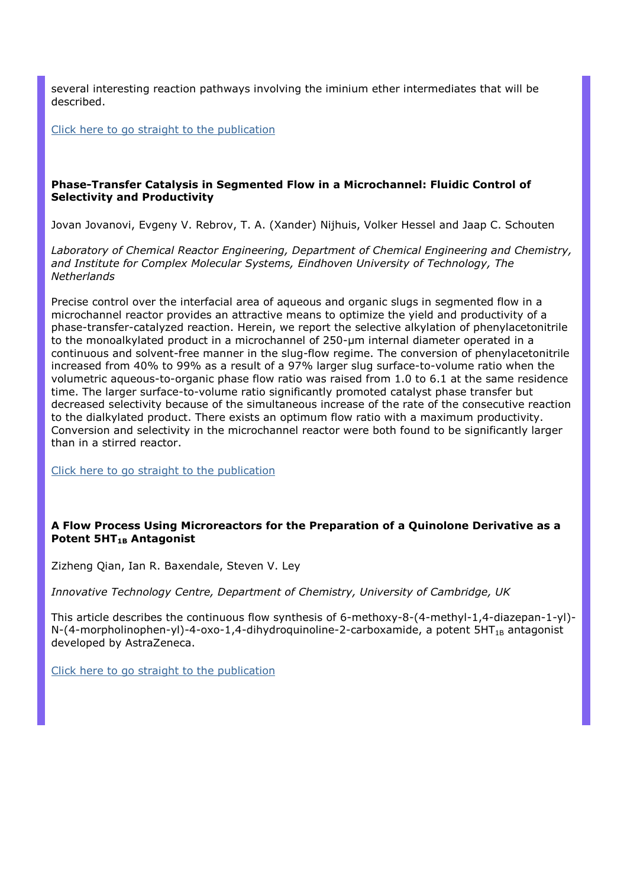several interesting reaction pathways involving the iminium ether intermediates that will be described.

Click here to go straight to the publication

#### Phase-Transfer Catalysis in Segmented Flow in a Microchannel: Fluidic Control of Selectivity and Productivity

Jovan Jovanovi, Evgeny V. Rebrov, T. A. (Xander) Nijhuis, Volker Hessel and Jaap C. Schouten

Laboratory of Chemical Reactor Engineering, Department of Chemical Engineering and Chemistry, and Institute for Complex Molecular Systems, Eindhoven University of Technology, The **Netherlands** 

Precise control over the interfacial area of aqueous and organic slugs in segmented flow in a microchannel reactor provides an attractive means to optimize the yield and productivity of a phase-transfer-catalyzed reaction. Herein, we report the selective alkylation of phenylacetonitrile to the monoalkylated product in a microchannel of 250-µm internal diameter operated in a continuous and solvent-free manner in the slug-flow regime. The conversion of phenylacetonitrile increased from 40% to 99% as a result of a 97% larger slug surface-to-volume ratio when the volumetric aqueous-to-organic phase flow ratio was raised from 1.0 to 6.1 at the same residence time. The larger surface-to-volume ratio significantly promoted catalyst phase transfer but decreased selectivity because of the simultaneous increase of the rate of the consecutive reaction to the dialkylated product. There exists an optimum flow ratio with a maximum productivity. Conversion and selectivity in the microchannel reactor were both found to be significantly larger than in a stirred reactor.

Click here to go straight to the publication

#### A Flow Process Using Microreactors for the Preparation of a Quinolone Derivative as a Potent 5HT<sub>1B</sub> Antagonist

Zizheng Qian, Ian R. Baxendale, Steven V. Ley

Innovative Technology Centre, Department of Chemistry, University of Cambridge, UK

This article describes the continuous flow synthesis of 6-methoxy-8-(4-methyl-1,4-diazepan-1-yl)-  $N-(4-morphismophen-y)-4-oxo-1,4-dihydroquinoline-2-carboxamide, a potent  $5HT_{1B}$  antagonist$ developed by AstraZeneca.

Click here to go straight to the publication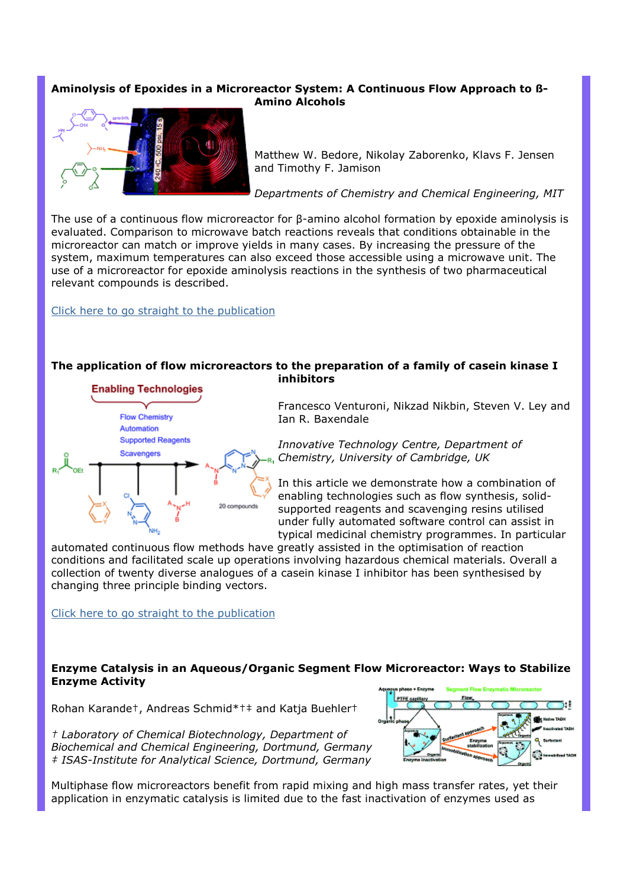### Aminolysis of Epoxides in a Microreactor System: A Continuous Flow Approach to ß-Amino Alcohols



Matthew W. Bedore, Nikolay Zaborenko, Klavs F. Jensen and Timothy F. Jamison

Departments of Chemistry and Chemical Engineering, MIT

The use of a continuous flow microreactor for β-amino alcohol formation by epoxide aminolysis is evaluated. Comparison to microwave batch reactions reveals that conditions obtainable in the microreactor can match or improve yields in many cases. By increasing the pressure of the system, maximum temperatures can also exceed those accessible using a microwave unit. The use of a microreactor for epoxide aminolysis reactions in the synthesis of two pharmaceutical relevant compounds is described.

Click here to go straight to the publication

#### The application of flow microreactors to the preparation of a family of casein kinase I inhibitors



Francesco Venturoni, Nikzad Nikbin, Steven V. Ley and Ian R. Baxendale

Innovative Technology Centre, Department of Chemistry, University of Cambridge, UK

In this article we demonstrate how a combination of enabling technologies such as flow synthesis, solidsupported reagents and scavenging resins utilised under fully automated software control can assist in typical medicinal chemistry programmes. In particular

automated continuous flow methods have greatly assisted in the optimisation of reaction conditions and facilitated scale up operations involving hazardous chemical materials. Overall a collection of twenty diverse analogues of a casein kinase I inhibitor has been synthesised by changing three principle binding vectors.

Click here to go straight to the publication

#### Enzyme Catalysis in an Aqueous/Organic Segment Flow Microreactor: Ways to Stabilize Enzyme Activity

Rohan Karande†, Andreas Schmid\*†‡ and Katja Buehler†

† Laboratory of Chemical Biotechnology, Department of Biochemical and Chemical Engineering, Dortmund, Germany ‡ ISAS-Institute for Analytical Science, Dortmund, Germany



Multiphase flow microreactors benefit from rapid mixing and high mass transfer rates, yet their application in enzymatic catalysis is limited due to the fast inactivation of enzymes used as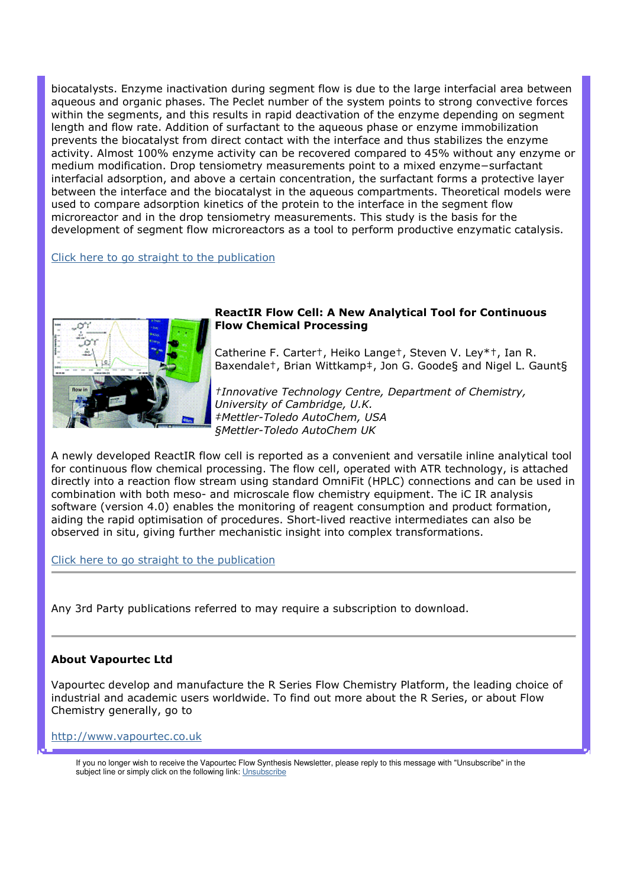biocatalysts. Enzyme inactivation during segment flow is due to the large interfacial area between aqueous and organic phases. The Peclet number of the system points to strong convective forces within the segments, and this results in rapid deactivation of the enzyme depending on segment length and flow rate. Addition of surfactant to the aqueous phase or enzyme immobilization prevents the biocatalyst from direct contact with the interface and thus stabilizes the enzyme activity. Almost 100% enzyme activity can be recovered compared to 45% without any enzyme or medium modification. Drop tensiometry measurements point to a mixed enzyme−surfactant interfacial adsorption, and above a certain concentration, the surfactant forms a protective layer between the interface and the biocatalyst in the aqueous compartments. Theoretical models were used to compare adsorption kinetics of the protein to the interface in the segment flow microreactor and in the drop tensiometry measurements. This study is the basis for the development of segment flow microreactors as a tool to perform productive enzymatic catalysis.

#### Click here to go straight to the publication



### ReactIR Flow Cell: A New Analytical Tool for Continuous Flow Chemical Processing

Catherine F. Carter†, Heiko Lange†, Steven V. Ley\*†, Ian R. Baxendale<sup>†</sup>, Brian Wittkamp<sup>‡</sup>, Jon G. Goode§ and Nigel L. Gaunt§

†Innovative Technology Centre, Department of Chemistry, University of Cambridge, U.K. ‡Mettler-Toledo AutoChem, USA §Mettler-Toledo AutoChem UK

A newly developed ReactIR flow cell is reported as a convenient and versatile inline analytical tool for continuous flow chemical processing. The flow cell, operated with ATR technology, is attached directly into a reaction flow stream using standard OmniFit (HPLC) connections and can be used in combination with both meso- and microscale flow chemistry equipment. The iC IR analysis software (version 4.0) enables the monitoring of reagent consumption and product formation, aiding the rapid optimisation of procedures. Short-lived reactive intermediates can also be observed in situ, giving further mechanistic insight into complex transformations.

Click here to go straight to the publication

Any 3rd Party publications referred to may require a subscription to download.

#### About Vapourtec Ltd

Vapourtec develop and manufacture the R Series Flow Chemistry Platform, the leading choice of industrial and academic users worldwide. To find out more about the R Series, or about Flow Chemistry generally, go to

#### http://www.vapourtec.co.uk

If you no longer wish to receive the Vapourtec Flow Synthesis Newsletter, please reply to this message with "Unsubscribe" in the subject line or simply click on the following link: Unsubscribe